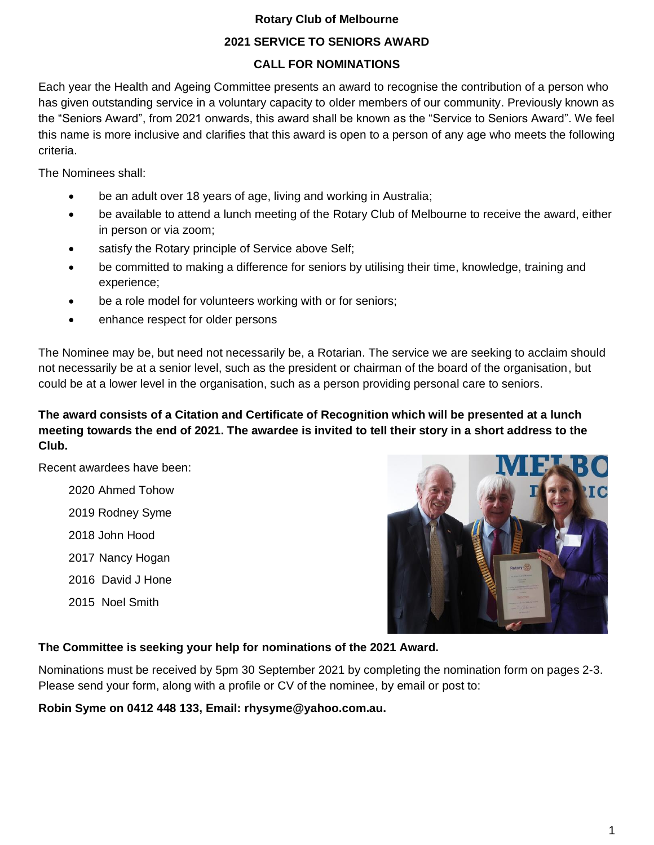#### **Rotary Club of Melbourne**

#### **2021 SERVICE TO SENIORS AWARD**

#### **CALL FOR NOMINATIONS**

Each year the Health and Ageing Committee presents an award to recognise the contribution of a person who has given outstanding service in a voluntary capacity to older members of our community. Previously known as the "Seniors Award", from 2021 onwards, this award shall be known as the "Service to Seniors Award". We feel this name is more inclusive and clarifies that this award is open to a person of any age who meets the following criteria.

The Nominees shall:

- be an adult over 18 years of age, living and working in Australia;
- be available to attend a lunch meeting of the Rotary Club of Melbourne to receive the award, either in person or via zoom;
- satisfy the Rotary principle of Service above Self;
- be committed to making a difference for seniors by utilising their time, knowledge, training and experience;
- be a role model for volunteers working with or for seniors;
- enhance respect for older persons

The Nominee may be, but need not necessarily be, a Rotarian. The service we are seeking to acclaim should not necessarily be at a senior level, such as the president or chairman of the board of the organisation, but could be at a lower level in the organisation, such as a person providing personal care to seniors.

## **The award consists of a Citation and Certificate of Recognition which will be presented at a lunch meeting towards the end of 2021. The awardee is invited to tell their story in a short address to the Club.**

Recent awardees have been:

2020 Ahmed Tohow 2019 Rodney Syme 2018 John Hood 2017 Nancy Hogan 2016 David J Hone 2015 Noel Smith



### **The Committee is seeking your help for nominations of the 2021 Award.**

Nominations must be received by 5pm 30 September 2021 by completing the nomination form on pages 2-3. Please send your form, along with a profile or CV of the nominee, by email or post to:

**Robin Syme on 0412 448 133, Email: rhysyme@yahoo.com.au.**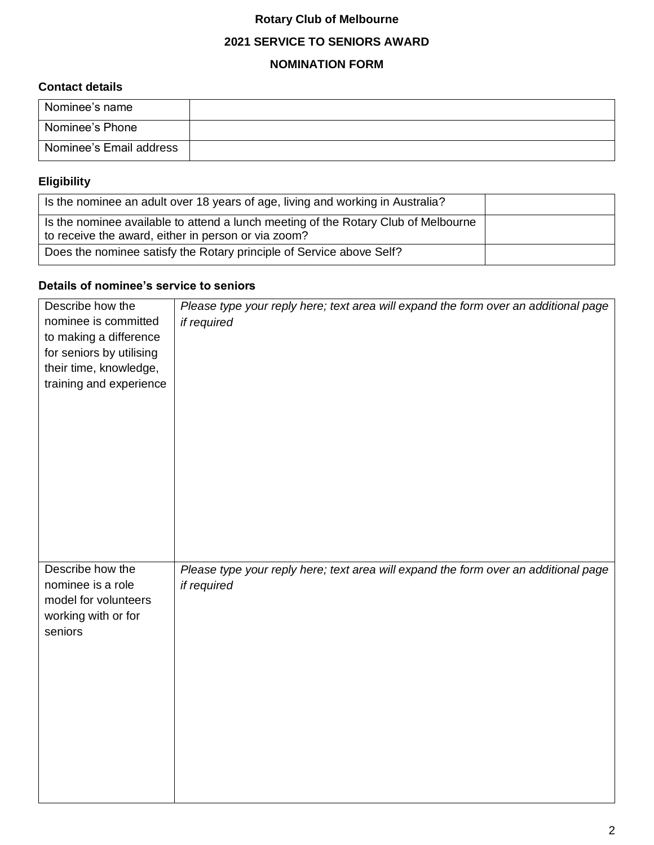## **Rotary Club of Melbourne**

## **2021 SERVICE TO SENIORS AWARD**

#### **NOMINATION FORM**

### **Contact details**

| Nominee's name          |  |
|-------------------------|--|
| Nominee's Phone         |  |
| Nominee's Email address |  |

# **Eligibility**

| Is the nominee an adult over 18 years of age, living and working in Australia?                                                            |  |
|-------------------------------------------------------------------------------------------------------------------------------------------|--|
| Is the nominee available to attend a lunch meeting of the Rotary Club of Melbourne<br>to receive the award, either in person or via zoom? |  |
| Does the nominee satisfy the Rotary principle of Service above Self?                                                                      |  |

# **Details of nominee's service to seniors**

| Describe how the<br>nominee is committed<br>to making a difference<br>for seniors by utilising<br>their time, knowledge,<br>training and experience | Please type your reply here; text area will expand the form over an additional page<br>if required |
|-----------------------------------------------------------------------------------------------------------------------------------------------------|----------------------------------------------------------------------------------------------------|
| Describe how the<br>nominee is a role<br>model for volunteers<br>working with or for<br>seniors                                                     | Please type your reply here; text area will expand the form over an additional page<br>if required |
|                                                                                                                                                     |                                                                                                    |